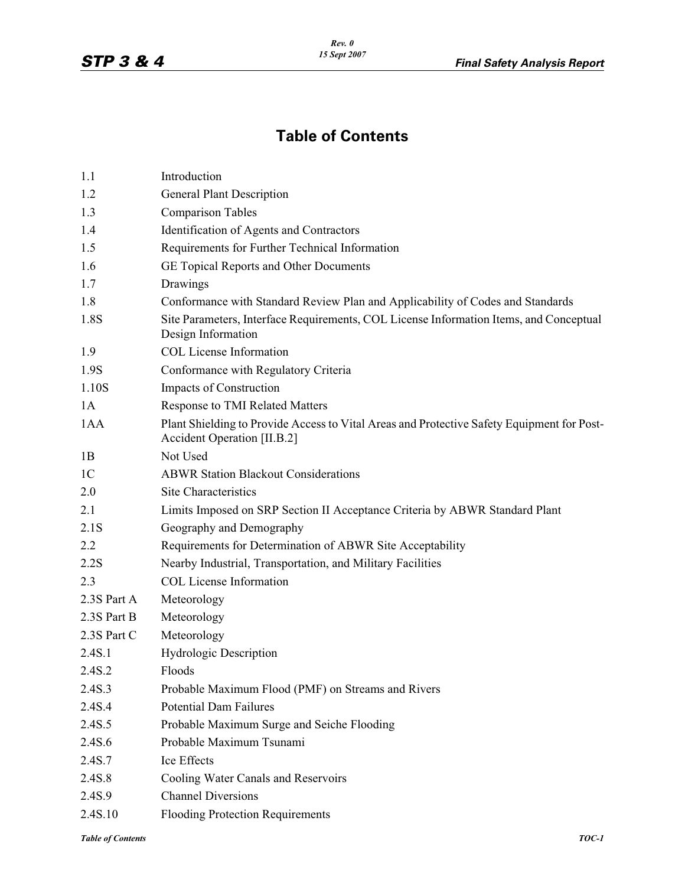## **Table of Contents**

| 1.1            | Introduction                                                                                                              |
|----------------|---------------------------------------------------------------------------------------------------------------------------|
| 1.2            | <b>General Plant Description</b>                                                                                          |
| 1.3            | <b>Comparison Tables</b>                                                                                                  |
| 1.4            | Identification of Agents and Contractors                                                                                  |
| 1.5            | Requirements for Further Technical Information                                                                            |
| 1.6            | GE Topical Reports and Other Documents                                                                                    |
| 1.7            | Drawings                                                                                                                  |
| 1.8            | Conformance with Standard Review Plan and Applicability of Codes and Standards                                            |
| 1.8S           | Site Parameters, Interface Requirements, COL License Information Items, and Conceptual<br>Design Information              |
| 1.9            | <b>COL License Information</b>                                                                                            |
| 1.9S           | Conformance with Regulatory Criteria                                                                                      |
| 1.10S          | Impacts of Construction                                                                                                   |
| 1A             | <b>Response to TMI Related Matters</b>                                                                                    |
| 1AA            | Plant Shielding to Provide Access to Vital Areas and Protective Safety Equipment for Post-<br>Accident Operation [II.B.2] |
| 1B             | Not Used                                                                                                                  |
| 1 <sup>C</sup> | <b>ABWR Station Blackout Considerations</b>                                                                               |
| 2.0            | <b>Site Characteristics</b>                                                                                               |
| 2.1            | Limits Imposed on SRP Section II Acceptance Criteria by ABWR Standard Plant                                               |
| 2.1S           | Geography and Demography                                                                                                  |
| 2.2            | Requirements for Determination of ABWR Site Acceptability                                                                 |
| 2.2S           | Nearby Industrial, Transportation, and Military Facilities                                                                |
| 2.3            | <b>COL License Information</b>                                                                                            |
| 2.3S Part A    | Meteorology                                                                                                               |
| 2.3S Part B    | Meteorology                                                                                                               |
| 2.3S Part C    | Meteorology                                                                                                               |
| 2.4S.1         | <b>Hydrologic Description</b>                                                                                             |
| 2.4S.2         | Floods                                                                                                                    |
| 2.4S.3         | Probable Maximum Flood (PMF) on Streams and Rivers                                                                        |
| 2.4S.4         | <b>Potential Dam Failures</b>                                                                                             |
| 2.4S.5         | Probable Maximum Surge and Seiche Flooding                                                                                |
| 2.4S.6         | Probable Maximum Tsunami                                                                                                  |
| 2.4S.7         | Ice Effects                                                                                                               |
| 2.4S.8         | Cooling Water Canals and Reservoirs                                                                                       |
| 2.4S.9         | <b>Channel Diversions</b>                                                                                                 |
| 2.4S.10        | Flooding Protection Requirements                                                                                          |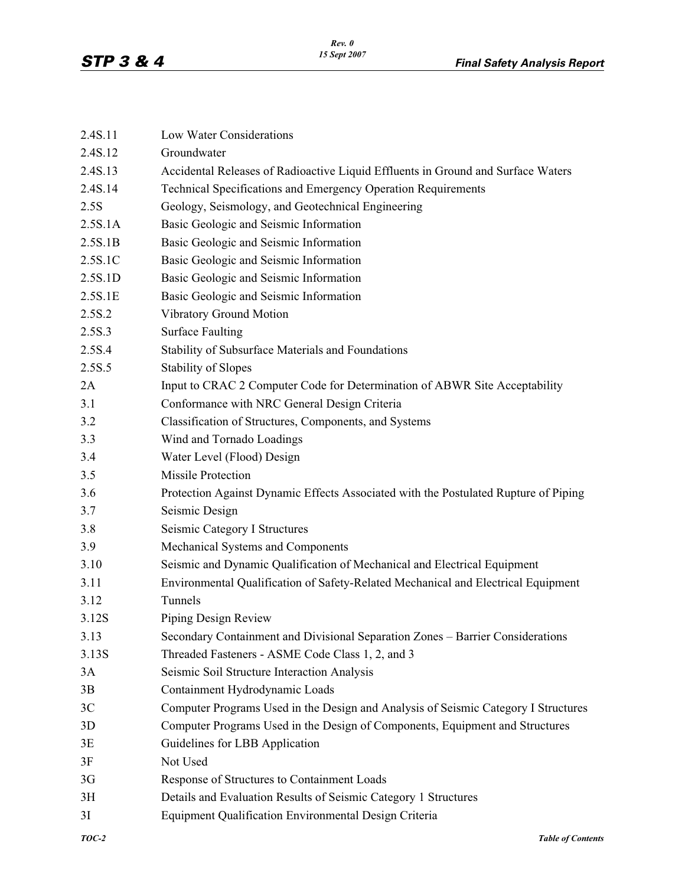| 2.4S.11        | Low Water Considerations                                                            |
|----------------|-------------------------------------------------------------------------------------|
| 2.4S.12        | Groundwater                                                                         |
| 2.4S.13        | Accidental Releases of Radioactive Liquid Effluents in Ground and Surface Waters    |
| 2.4S.14        | Technical Specifications and Emergency Operation Requirements                       |
| 2.5S           | Geology, Seismology, and Geotechnical Engineering                                   |
| 2.5S.1A        | Basic Geologic and Seismic Information                                              |
| 2.5S.1B        | Basic Geologic and Seismic Information                                              |
| 2.5S.1C        | Basic Geologic and Seismic Information                                              |
| 2.5S.1D        | Basic Geologic and Seismic Information                                              |
| 2.5S.1E        | Basic Geologic and Seismic Information                                              |
| 2.5S.2         | Vibratory Ground Motion                                                             |
| 2.5S.3         | <b>Surface Faulting</b>                                                             |
| 2.5S.4         | Stability of Subsurface Materials and Foundations                                   |
| 2.5S.5         | <b>Stability of Slopes</b>                                                          |
| 2A             | Input to CRAC 2 Computer Code for Determination of ABWR Site Acceptability          |
| 3.1            | Conformance with NRC General Design Criteria                                        |
| 3.2            | Classification of Structures, Components, and Systems                               |
| 3.3            | Wind and Tornado Loadings                                                           |
| 3.4            | Water Level (Flood) Design                                                          |
| 3.5            | <b>Missile Protection</b>                                                           |
| 3.6            | Protection Against Dynamic Effects Associated with the Postulated Rupture of Piping |
| 3.7            | Seismic Design                                                                      |
| 3.8            | Seismic Category I Structures                                                       |
| 3.9            | Mechanical Systems and Components                                                   |
| 3.10           | Seismic and Dynamic Qualification of Mechanical and Electrical Equipment            |
| 3.11           | Environmental Qualification of Safety-Related Mechanical and Electrical Equipment   |
| 3.12           | Tunnels                                                                             |
| 3.12S          | Piping Design Review                                                                |
| 3.13           | Secondary Containment and Divisional Separation Zones - Barrier Considerations      |
| 3.13S          | Threaded Fasteners - ASME Code Class 1, 2, and 3                                    |
| 3A             | Seismic Soil Structure Interaction Analysis                                         |
| 3B             | Containment Hydrodynamic Loads                                                      |
| 3C             | Computer Programs Used in the Design and Analysis of Seismic Category I Structures  |
| 3D             | Computer Programs Used in the Design of Components, Equipment and Structures        |
| 3E             | Guidelines for LBB Application                                                      |
| 3F             | Not Used                                                                            |
| 3 <sub>G</sub> | Response of Structures to Containment Loads                                         |
| 3H             | Details and Evaluation Results of Seismic Category 1 Structures                     |
| 3I             | Equipment Qualification Environmental Design Criteria                               |
|                |                                                                                     |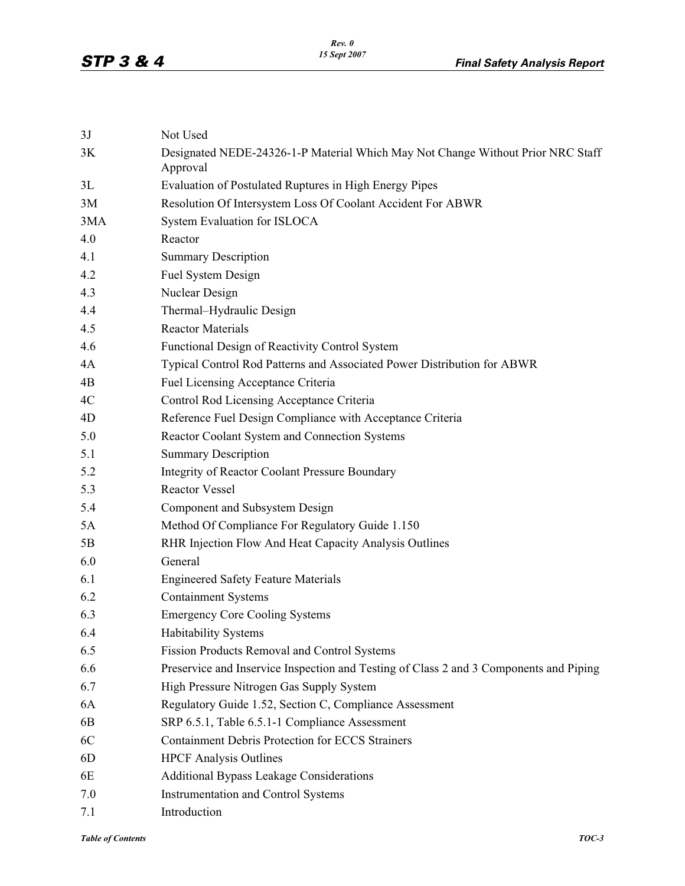| 3J  | Not Used                                                                                    |
|-----|---------------------------------------------------------------------------------------------|
| 3K  | Designated NEDE-24326-1-P Material Which May Not Change Without Prior NRC Staff<br>Approval |
| 3L  | Evaluation of Postulated Ruptures in High Energy Pipes                                      |
| 3M  | Resolution Of Intersystem Loss Of Coolant Accident For ABWR                                 |
| 3MA | System Evaluation for ISLOCA                                                                |
| 4.0 | Reactor                                                                                     |
| 4.1 | <b>Summary Description</b>                                                                  |
| 4.2 | Fuel System Design                                                                          |
| 4.3 | Nuclear Design                                                                              |
| 4.4 | Thermal-Hydraulic Design                                                                    |
| 4.5 | <b>Reactor Materials</b>                                                                    |
| 4.6 | Functional Design of Reactivity Control System                                              |
| 4A  | Typical Control Rod Patterns and Associated Power Distribution for ABWR                     |
| 4B  | Fuel Licensing Acceptance Criteria                                                          |
| 4C  | Control Rod Licensing Acceptance Criteria                                                   |
| 4D  | Reference Fuel Design Compliance with Acceptance Criteria                                   |
| 5.0 | Reactor Coolant System and Connection Systems                                               |
| 5.1 | <b>Summary Description</b>                                                                  |
| 5.2 | <b>Integrity of Reactor Coolant Pressure Boundary</b>                                       |
| 5.3 | <b>Reactor Vessel</b>                                                                       |
| 5.4 | Component and Subsystem Design                                                              |
| 5A  | Method Of Compliance For Regulatory Guide 1.150                                             |
| 5B  | RHR Injection Flow And Heat Capacity Analysis Outlines                                      |
| 6.0 | General                                                                                     |
| 6.1 | <b>Engineered Safety Feature Materials</b>                                                  |
| 6.2 | <b>Containment Systems</b>                                                                  |
| 6.3 | <b>Emergency Core Cooling Systems</b>                                                       |
| 6.4 | Habitability Systems                                                                        |
| 6.5 | Fission Products Removal and Control Systems                                                |
| 6.6 | Preservice and Inservice Inspection and Testing of Class 2 and 3 Components and Piping      |
| 6.7 | High Pressure Nitrogen Gas Supply System                                                    |
| 6A  | Regulatory Guide 1.52, Section C, Compliance Assessment                                     |
| 6B  | SRP 6.5.1, Table 6.5.1-1 Compliance Assessment                                              |
| 6C  | <b>Containment Debris Protection for ECCS Strainers</b>                                     |
| 6D  | <b>HPCF</b> Analysis Outlines                                                               |
| 6E  | <b>Additional Bypass Leakage Considerations</b>                                             |
| 7.0 | Instrumentation and Control Systems                                                         |
| 7.1 | Introduction                                                                                |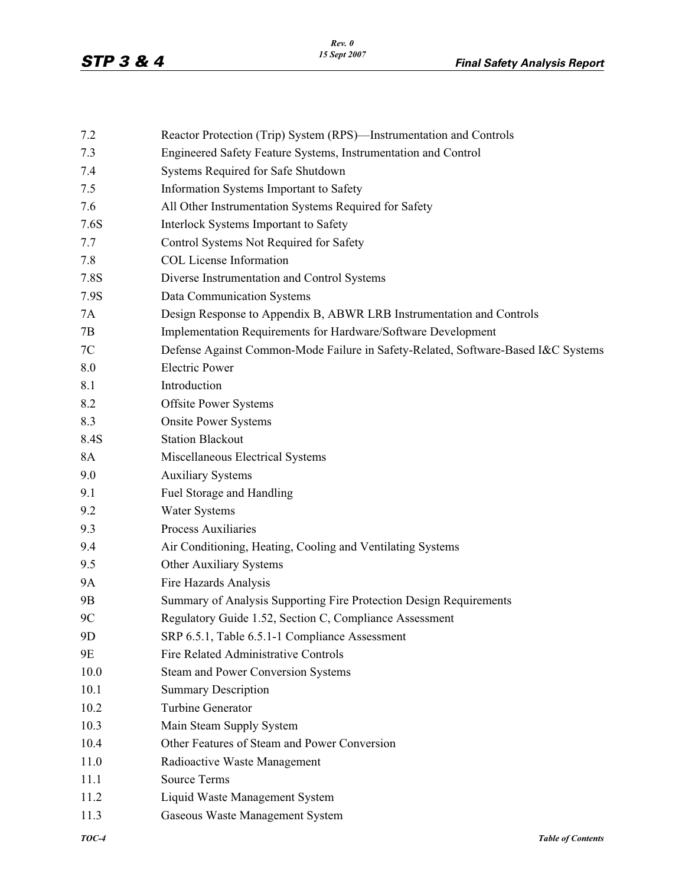| 7.2            | Reactor Protection (Trip) System (RPS)—Instrumentation and Controls               |
|----------------|-----------------------------------------------------------------------------------|
| 7.3            | Engineered Safety Feature Systems, Instrumentation and Control                    |
| 7.4            | Systems Required for Safe Shutdown                                                |
| 7.5            | Information Systems Important to Safety                                           |
| 7.6            | All Other Instrumentation Systems Required for Safety                             |
| 7.6S           | Interlock Systems Important to Safety                                             |
| 7.7            | Control Systems Not Required for Safety                                           |
| 7.8            | <b>COL License Information</b>                                                    |
| 7.8S           | Diverse Instrumentation and Control Systems                                       |
| 7.9S           | Data Communication Systems                                                        |
| 7A             | Design Response to Appendix B, ABWR LRB Instrumentation and Controls              |
| 7B             | Implementation Requirements for Hardware/Software Development                     |
| 7C             | Defense Against Common-Mode Failure in Safety-Related, Software-Based I&C Systems |
| 8.0            | <b>Electric Power</b>                                                             |
| 8.1            | Introduction                                                                      |
| 8.2            | <b>Offsite Power Systems</b>                                                      |
| 8.3            | <b>Onsite Power Systems</b>                                                       |
| 8.4S           | <b>Station Blackout</b>                                                           |
| 8A             | Miscellaneous Electrical Systems                                                  |
| 9.0            | <b>Auxiliary Systems</b>                                                          |
| 9.1            | Fuel Storage and Handling                                                         |
| 9.2            | <b>Water Systems</b>                                                              |
| 9.3            | <b>Process Auxiliaries</b>                                                        |
| 9.4            | Air Conditioning, Heating, Cooling and Ventilating Systems                        |
| 9.5            | Other Auxiliary Systems                                                           |
| 9A             | Fire Hazards Analysis                                                             |
| 9Β             | Summary of Analysis Supporting Fire Protection Design Requirements                |
| 9C             | Regulatory Guide 1.52, Section C, Compliance Assessment                           |
| 9 <sub>D</sub> | SRP 6.5.1, Table 6.5.1-1 Compliance Assessment                                    |
| 9E             | Fire Related Administrative Controls                                              |
| 10.0           | Steam and Power Conversion Systems                                                |
| 10.1           | <b>Summary Description</b>                                                        |
| 10.2           | <b>Turbine Generator</b>                                                          |
| 10.3           | Main Steam Supply System                                                          |
| 10.4           | Other Features of Steam and Power Conversion                                      |
| 11.0           | Radioactive Waste Management                                                      |
| 11.1           | <b>Source Terms</b>                                                               |
| 11.2           | Liquid Waste Management System                                                    |
| 11.3           | Gaseous Waste Management System                                                   |
|                |                                                                                   |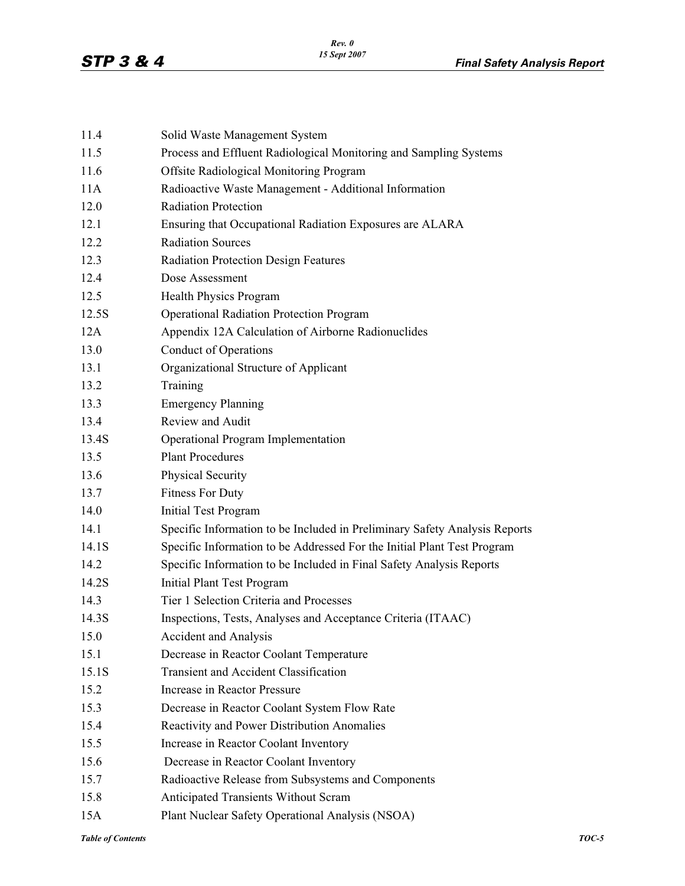| Solid Waste Management System                                              |
|----------------------------------------------------------------------------|
| Process and Effluent Radiological Monitoring and Sampling Systems          |
| <b>Offsite Radiological Monitoring Program</b>                             |
| Radioactive Waste Management - Additional Information                      |
| <b>Radiation Protection</b>                                                |
| Ensuring that Occupational Radiation Exposures are ALARA                   |
| <b>Radiation Sources</b>                                                   |
| Radiation Protection Design Features                                       |
| Dose Assessment                                                            |
| <b>Health Physics Program</b>                                              |
| <b>Operational Radiation Protection Program</b>                            |
| Appendix 12A Calculation of Airborne Radionuclides                         |
| <b>Conduct of Operations</b>                                               |
| Organizational Structure of Applicant                                      |
| Training                                                                   |
| <b>Emergency Planning</b>                                                  |
| Review and Audit                                                           |
| Operational Program Implementation                                         |
| <b>Plant Procedures</b>                                                    |
| Physical Security                                                          |
| <b>Fitness For Duty</b>                                                    |
| <b>Initial Test Program</b>                                                |
| Specific Information to be Included in Preliminary Safety Analysis Reports |
| Specific Information to be Addressed For the Initial Plant Test Program    |
| Specific Information to be Included in Final Safety Analysis Reports       |
| <b>Initial Plant Test Program</b>                                          |
| Tier 1 Selection Criteria and Processes                                    |
| Inspections, Tests, Analyses and Acceptance Criteria (ITAAC)               |
| <b>Accident and Analysis</b>                                               |
| Decrease in Reactor Coolant Temperature                                    |
| <b>Transient and Accident Classification</b>                               |
| Increase in Reactor Pressure                                               |
| Decrease in Reactor Coolant System Flow Rate                               |
| Reactivity and Power Distribution Anomalies                                |
| Increase in Reactor Coolant Inventory                                      |
| Decrease in Reactor Coolant Inventory                                      |
| Radioactive Release from Subsystems and Components                         |
| <b>Anticipated Transients Without Scram</b>                                |
| Plant Nuclear Safety Operational Analysis (NSOA)                           |
|                                                                            |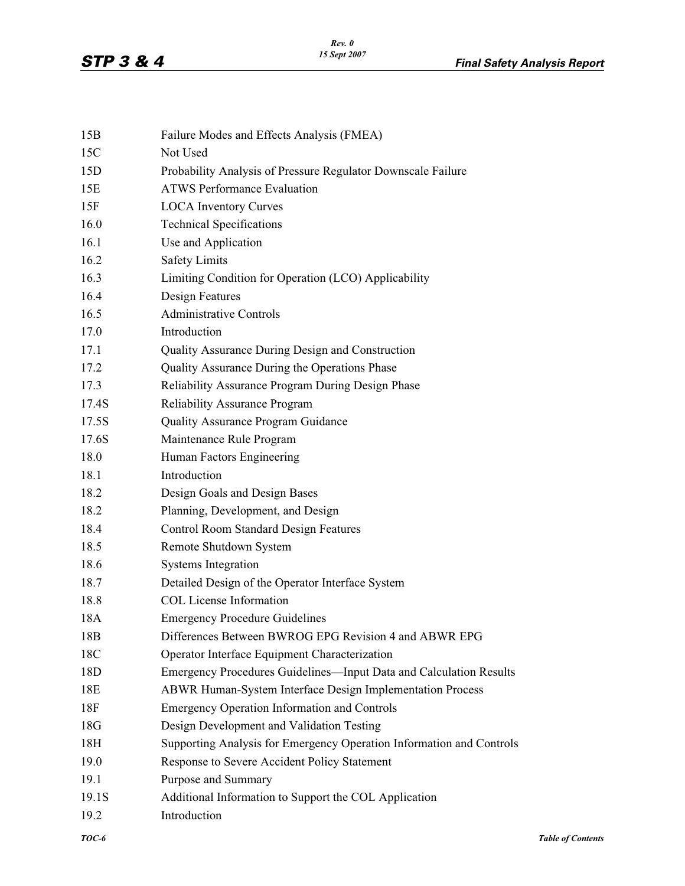| 15B         | Failure Modes and Effects Analysis (FMEA)                            |                          |
|-------------|----------------------------------------------------------------------|--------------------------|
| 15C         | Not Used                                                             |                          |
| 15D         | Probability Analysis of Pressure Regulator Downscale Failure         |                          |
| 15E         | <b>ATWS Performance Evaluation</b>                                   |                          |
| 15F         | <b>LOCA</b> Inventory Curves                                         |                          |
| 16.0        | <b>Technical Specifications</b>                                      |                          |
| 16.1        | Use and Application                                                  |                          |
| 16.2        | <b>Safety Limits</b>                                                 |                          |
| 16.3        | Limiting Condition for Operation (LCO) Applicability                 |                          |
| 16.4        | <b>Design Features</b>                                               |                          |
| 16.5        | <b>Administrative Controls</b>                                       |                          |
| 17.0        | Introduction                                                         |                          |
| 17.1        | Quality Assurance During Design and Construction                     |                          |
| 17.2        | Quality Assurance During the Operations Phase                        |                          |
| 17.3        | Reliability Assurance Program During Design Phase                    |                          |
| 17.4S       | <b>Reliability Assurance Program</b>                                 |                          |
| 17.5S       | Quality Assurance Program Guidance                                   |                          |
| 17.6S       | Maintenance Rule Program                                             |                          |
| 18.0        | Human Factors Engineering                                            |                          |
| 18.1        | Introduction                                                         |                          |
| 18.2        | Design Goals and Design Bases                                        |                          |
| 18.2        | Planning, Development, and Design                                    |                          |
| 18.4        | <b>Control Room Standard Design Features</b>                         |                          |
| 18.5        | Remote Shutdown System                                               |                          |
| 18.6        | <b>Systems Integration</b>                                           |                          |
| 18.7        | Detailed Design of the Operator Interface System                     |                          |
| 18.8        | <b>COL License Information</b>                                       |                          |
| 18A         | <b>Emergency Procedure Guidelines</b>                                |                          |
| 18B         | Differences Between BWROG EPG Revision 4 and ABWR EPG                |                          |
| 18C         | Operator Interface Equipment Characterization                        |                          |
| 18D         | Emergency Procedures Guidelines—Input Data and Calculation Results   |                          |
| 18E         | ABWR Human-System Interface Design Implementation Process            |                          |
| 18F         | <b>Emergency Operation Information and Controls</b>                  |                          |
| 18G         | Design Development and Validation Testing                            |                          |
| 18H         | Supporting Analysis for Emergency Operation Information and Controls |                          |
| 19.0        | Response to Severe Accident Policy Statement                         |                          |
| 19.1        | Purpose and Summary                                                  |                          |
| 19.1S       | Additional Information to Support the COL Application                |                          |
| 19.2        | Introduction                                                         |                          |
| $\it TOC-6$ |                                                                      | <b>Table of Contents</b> |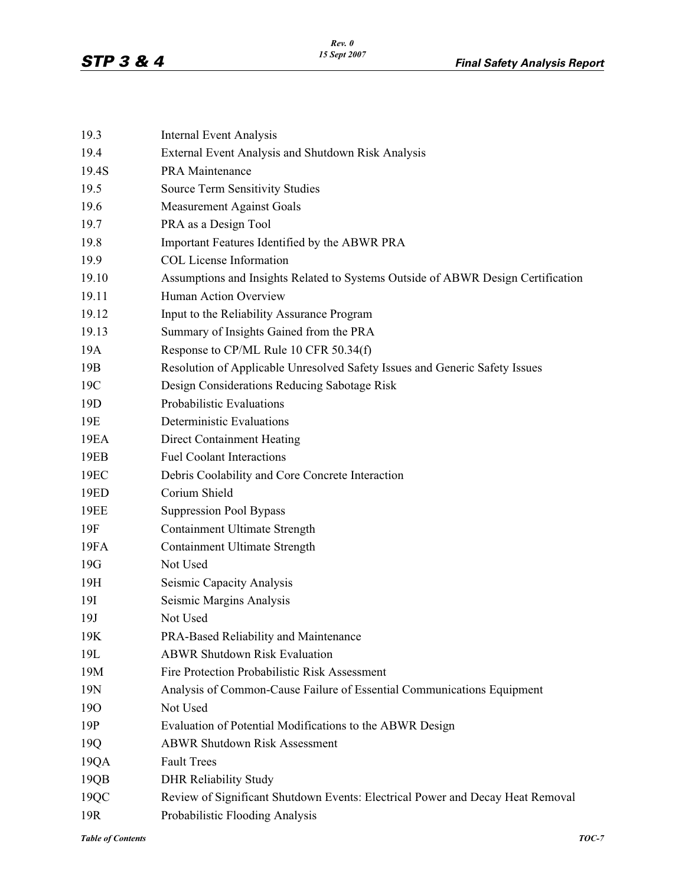| 19.3            | <b>Internal Event Analysis</b>                                                   |
|-----------------|----------------------------------------------------------------------------------|
| 19.4            | External Event Analysis and Shutdown Risk Analysis                               |
| 19.4S           | PRA Maintenance                                                                  |
| 19.5            | <b>Source Term Sensitivity Studies</b>                                           |
| 19.6            | <b>Measurement Against Goals</b>                                                 |
| 19.7            | PRA as a Design Tool                                                             |
| 19.8            | Important Features Identified by the ABWR PRA                                    |
| 19.9            | <b>COL License Information</b>                                                   |
| 19.10           | Assumptions and Insights Related to Systems Outside of ABWR Design Certification |
| 19.11           | Human Action Overview                                                            |
| 19.12           | Input to the Reliability Assurance Program                                       |
| 19.13           | Summary of Insights Gained from the PRA                                          |
| 19A             | Response to CP/ML Rule 10 CFR 50.34(f)                                           |
| 19 <sub>B</sub> | Resolution of Applicable Unresolved Safety Issues and Generic Safety Issues      |
| 19C             | Design Considerations Reducing Sabotage Risk                                     |
| 19 <sub>D</sub> | Probabilistic Evaluations                                                        |
| 19E             | Deterministic Evaluations                                                        |
| 19EA            | <b>Direct Containment Heating</b>                                                |
| 19EB            | <b>Fuel Coolant Interactions</b>                                                 |
| 19EC            | Debris Coolability and Core Concrete Interaction                                 |
| 19ED            | Corium Shield                                                                    |
| <b>19EE</b>     | <b>Suppression Pool Bypass</b>                                                   |
| 19F             | <b>Containment Ultimate Strength</b>                                             |
| 19FA            | <b>Containment Ultimate Strength</b>                                             |
| 19G             | Not Used                                                                         |
| 19H             | Seismic Capacity Analysis                                                        |
| 19I             | Seismic Margins Analysis                                                         |
| 19J             | Not Used                                                                         |
| 19K             | PRA-Based Reliability and Maintenance                                            |
| 19L             | <b>ABWR Shutdown Risk Evaluation</b>                                             |
| 19M             | Fire Protection Probabilistic Risk Assessment                                    |
| 19N             | Analysis of Common-Cause Failure of Essential Communications Equipment           |
| 190             | Not Used                                                                         |
| 19P             | Evaluation of Potential Modifications to the ABWR Design                         |
| 19Q             | <b>ABWR Shutdown Risk Assessment</b>                                             |
| 19QA            | <b>Fault Trees</b>                                                               |
| 19QB            | <b>DHR Reliability Study</b>                                                     |
| 19QC            | Review of Significant Shutdown Events: Electrical Power and Decay Heat Removal   |
| 19R             | Probabilistic Flooding Analysis                                                  |